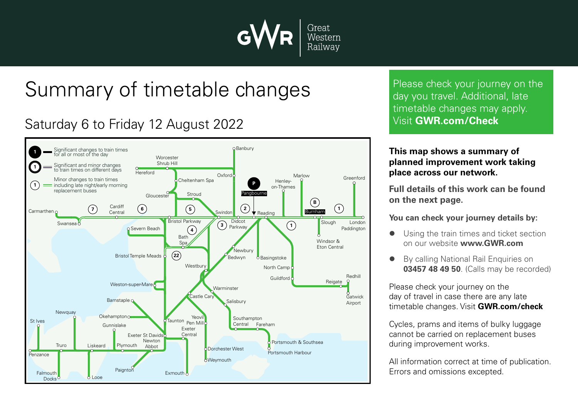

## Summary of timetable changes

## Saturday 6 to Friday 12 August 2022



Please check your journey on the day you travel. Additional, late timetable changes may apply. Visit **GWR.com/Check**

## **This map shows a summary of planned improvement work taking place across our network.**

**Full details of this work can be found on the next page.**

**You can check your journey details by:**

- Using the train times and ticket section on our website **www.GWR.com**
- By calling National Rail Enquiries on **03457 48 49 50**. (Calls may be recorded)

Please check your journey on the day of travel in case there are any late timetable changes. Visit **GWR.com/check**

Cycles, prams and items of bulky luggage cannot be carried on replacement buses during improvement works.

All information correct at time of publication. Errors and omissions excepted.